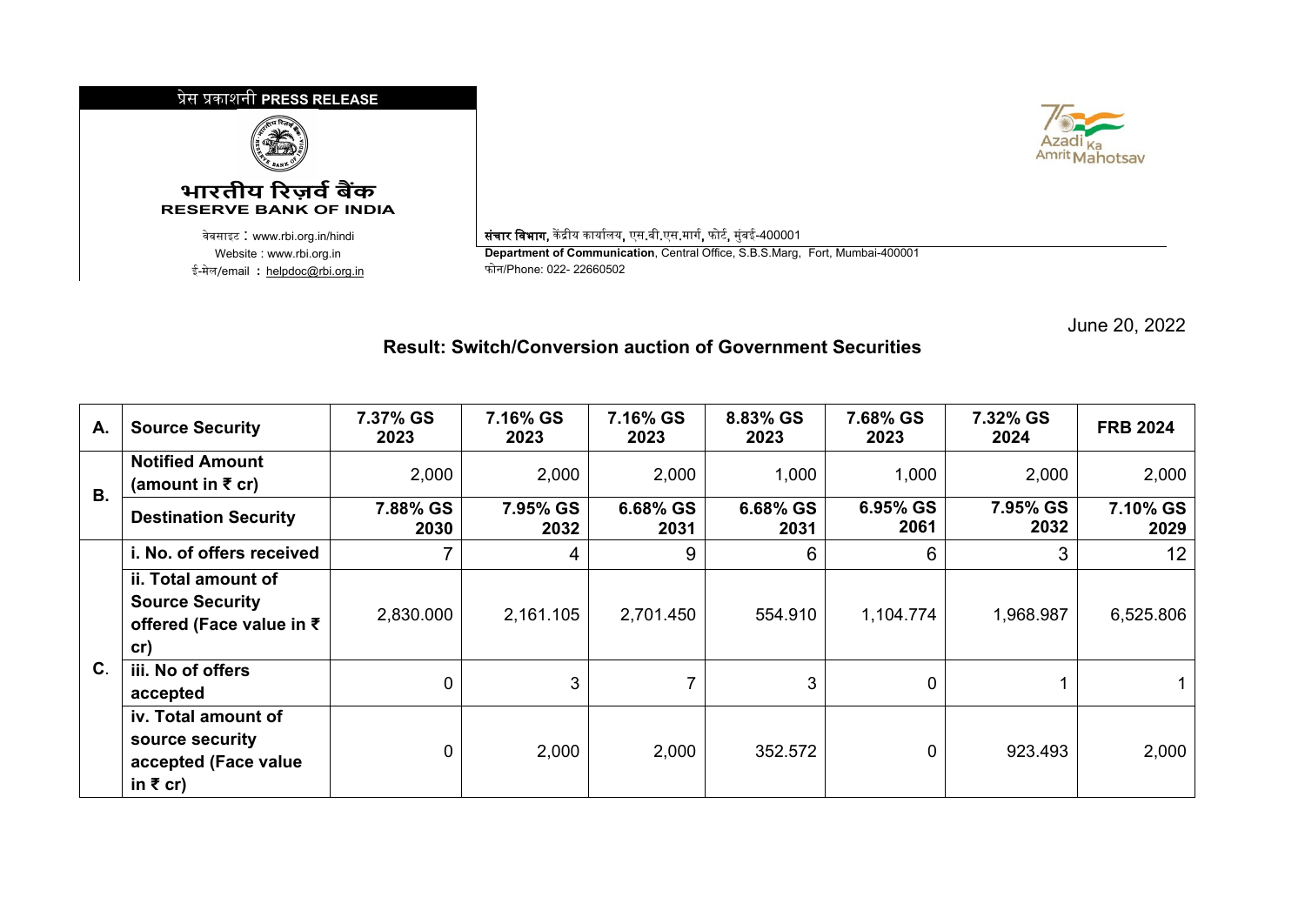## �ेस �काशनी **PRESS RELEASE**



## **भारतीय �रज़व�ब�क RESERVE BANK OF INDIA**

<sup>0</sup>वेबसाइट : www.rbi.org.in/hindi संचार िवभाग, क� �ीय कायार्लय, एस.बी.एस.मागर्, फोटर्, मुंबई-400001 ई-मेल/email **:** <u>[helpdoc@rbi.org.in](mailto:helpdoc@rbi.org.in)</u>



**Department of Communication**, Central Office, S.B.S.Marg, Fort, Mumbai-400001<br>फोन/Phone: 022- 22660502

June 20, 2022

## **Result: Switch/Conversion auction of Government Securities**

| А.          | <b>Source Security</b>                                                           | 7.37% GS<br>2023 | 7.16% GS<br>2023 | 7.16% GS<br>2023 | 8.83% GS<br>2023 | 7.68% GS<br>2023 | 7.32% GS<br>2024 | <b>FRB 2024</b>  |
|-------------|----------------------------------------------------------------------------------|------------------|------------------|------------------|------------------|------------------|------------------|------------------|
| <b>B.</b>   | <b>Notified Amount</b><br>(amount in ₹ cr)                                       | 2,000            | 2,000            | 2,000            | 1,000            | 1,000            | 2,000            | 2,000            |
|             | <b>Destination Security</b>                                                      | 7.88% GS<br>2030 | 7.95% GS<br>2032 | 6.68% GS<br>2031 | 6.68% GS<br>2031 | 6.95% GS<br>2061 | 7.95% GS<br>2032 | 7.10% GS<br>2029 |
| $\mathbf C$ | i. No. of offers received                                                        | 7                | 4                | 9                | 6                | 6                | 3                | 12 <sup>2</sup>  |
|             | ii. Total amount of<br><b>Source Security</b><br>offered (Face value in ₹<br>cr) | 2,830.000        | 2,161.105        | 2,701.450        | 554.910          | 1,104.774        | 1,968.987        | 6,525.806        |
|             | iii. No of offers<br>accepted                                                    | 0                | 3                |                  | 3                | 0                |                  |                  |
|             | iv. Total amount of<br>source security<br>accepted (Face value<br>in ₹ cr)       | 0                | 2,000            | 2,000            | 352.572          | 0                | 923.493          | 2,000            |